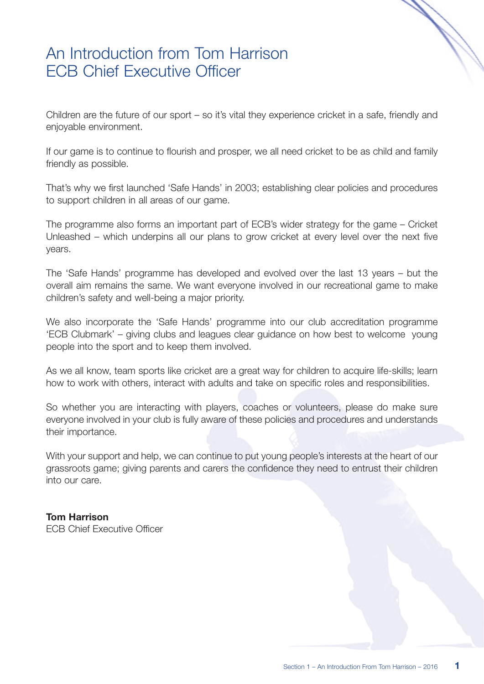#### An Introduction from Tom Harrison ECB Chief Executive Officer

Children are the future of our sport – so it's vital they experience cricket in a safe, friendly and enjoyable environment.

If our game is to continue to flourish and prosper, we all need cricket to be as child and family friendly as possible.

That's why we first launched 'Safe Hands' in 2003; establishing clear policies and procedures to support children in all areas of our game.

The programme also forms an important part of ECB's wider strategy for the game – Cricket Unleashed – which underpins all our plans to grow cricket at every level over the next five years.

The 'Safe Hands' programme has developed and evolved over the last 13 years – but the overall aim remains the same. We want everyone involved in our recreational game to make children's safety and well-being a major priority.

We also incorporate the 'Safe Hands' programme into our club accreditation programme 'ECB Clubmark' – giving clubs and leagues clear guidance on how best to welcome young people into the sport and to keep them involved.

As we all know, team sports like cricket are a great way for children to acquire life-skills; learn how to work with others, interact with adults and take on specific roles and responsibilities.

So whether you are interacting with players, coaches or volunteers, please do make sure everyone involved in your club is fully aware of these policies and procedures and understands their importance.

With your support and help, we can continue to put young people's interests at the heart of our grassroots game; giving parents and carers the confidence they need to entrust their children into our care.

#### **Tom Harrison**

ECB Chief Executive Officer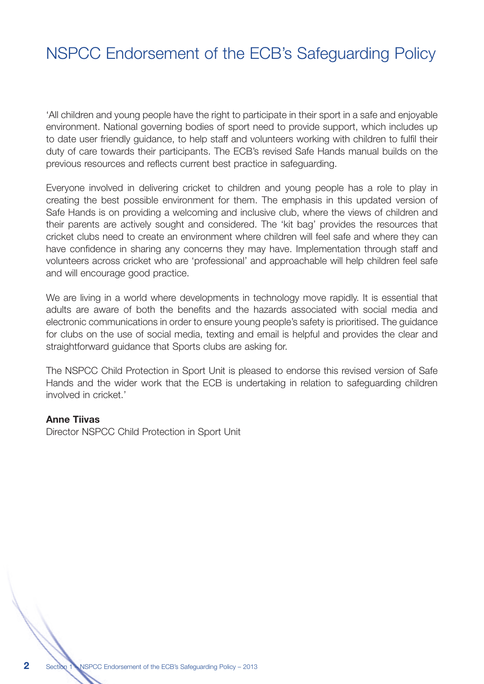## NSPCC Endorsement of the ECB's Safeguarding Policy

'All children and young people have the right to participate in their sport in a safe and enjoyable environment. National governing bodies of sport need to provide support, which includes up to date user friendly guidance, to help staff and volunteers working with children to fulfil their duty of care towards their participants. The ECB's revised Safe Hands manual builds on the previous resources and reflects current best practice in safeguarding.

Everyone involved in delivering cricket to children and young people has a role to play in creating the best possible environment for them. The emphasis in this updated version of Safe Hands is on providing a welcoming and inclusive club, where the views of children and their parents are actively sought and considered. The 'kit bag' provides the resources that cricket clubs need to create an environment where children will feel safe and where they can have confidence in sharing any concerns they may have. Implementation through staff and volunteers across cricket who are 'professional' and approachable will help children feel safe and will encourage good practice.

We are living in a world where developments in technology move rapidly. It is essential that adults are aware of both the benefits and the hazards associated with social media and electronic communications in order to ensure young people's safety is prioritised. The guidance for clubs on the use of social media, texting and email is helpful and provides the clear and straightforward guidance that Sports clubs are asking for.

The NSPCC Child Protection in Sport Unit is pleased to endorse this revised version of Safe Hands and the wider work that the ECB is undertaking in relation to safeguarding children involved in cricket.'

#### **Anne Tiivas**

Director NSPCC Child Protection in Sport Unit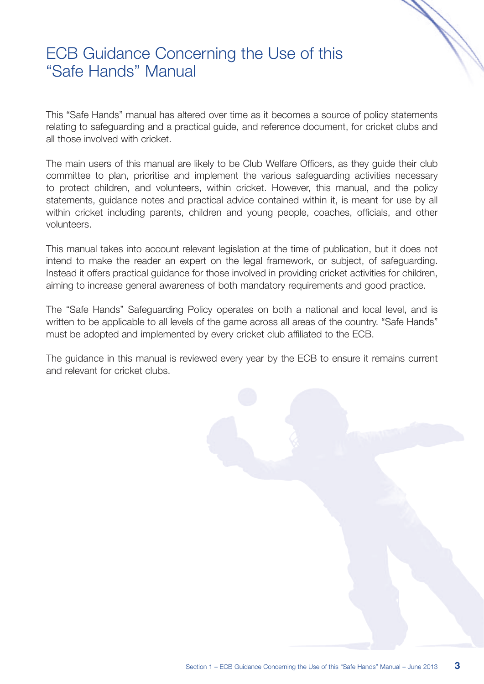#### ECB Guidance Concerning the Use of this "Safe Hands" Manual

This "Safe Hands" manual has altered over time as it becomes a source of policy statements relating to safeguarding and a practical guide, and reference document, for cricket clubs and all those involved with cricket.

The main users of this manual are likely to be Club Welfare Officers, as they guide their club committee to plan, prioritise and implement the various safeguarding activities necessary to protect children, and volunteers, within cricket. However, this manual, and the policy statements, guidance notes and practical advice contained within it, is meant for use by all within cricket including parents, children and young people, coaches, officials, and other volunteers.

This manual takes into account relevant legislation at the time of publication, but it does not intend to make the reader an expert on the legal framework, or subject, of safeguarding. Instead it offers practical guidance for those involved in providing cricket activities for children, aiming to increase general awareness of both mandatory requirements and good practice.

The "Safe Hands" Safeguarding Policy operates on both a national and local level, and is written to be applicable to all levels of the game across all areas of the country. "Safe Hands" must be adopted and implemented by every cricket club affiliated to the ECB.

The guidance in this manual is reviewed every year by the ECB to ensure it remains current and relevant for cricket clubs.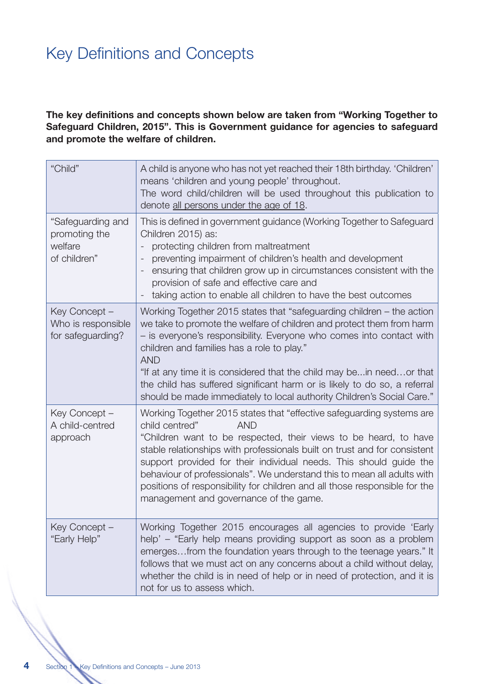## Key Definitions and Concepts

#### **The key definitions and concepts shown below are taken from "Working Together to Safeguard Children, 2015". This is Government guidance for agencies to safeguard and promote the welfare of children.**

| "Child"                                                       | A child is anyone who has not yet reached their 18th birthday. 'Children'<br>means 'children and young people' throughout.<br>The word child/children will be used throughout this publication to<br>denote all persons under the age of 18.                                                                                                                                                                                                                                                                                    |
|---------------------------------------------------------------|---------------------------------------------------------------------------------------------------------------------------------------------------------------------------------------------------------------------------------------------------------------------------------------------------------------------------------------------------------------------------------------------------------------------------------------------------------------------------------------------------------------------------------|
| "Safeguarding and<br>promoting the<br>welfare<br>of children" | This is defined in government guidance (Working Together to Safeguard<br>Children 2015) as:<br>protecting children from maltreatment<br>preventing impairment of children's health and development<br>$\qquad \qquad -$<br>ensuring that children grow up in circumstances consistent with the<br>provision of safe and effective care and<br>taking action to enable all children to have the best outcomes                                                                                                                    |
| Key Concept -<br>Who is responsible<br>for safeguarding?      | Working Together 2015 states that "safeguarding children – the action<br>we take to promote the welfare of children and protect them from harm<br>- is everyone's responsibility. Everyone who comes into contact with<br>children and families has a role to play."<br><b>AND</b><br>"If at any time it is considered that the child may be in need or that<br>the child has suffered significant harm or is likely to do so, a referral<br>should be made immediately to local authority Children's Social Care."             |
| Key Concept -<br>A child-centred<br>approach                  | Working Together 2015 states that "effective safeguarding systems are<br>child centred"<br><b>AND</b><br>"Children want to be respected, their views to be heard, to have<br>stable relationships with professionals built on trust and for consistent<br>support provided for their individual needs. This should guide the<br>behaviour of professionals". We understand this to mean all adults with<br>positions of responsibility for children and all those responsible for the<br>management and governance of the game. |
| Key Concept -<br>"Early Help"                                 | Working Together 2015 encourages all agencies to provide 'Early<br>help' – "Early help means providing support as soon as a problem<br>emerges from the foundation years through to the teenage years." It<br>follows that we must act on any concerns about a child without delay,<br>whether the child is in need of help or in need of protection, and it is<br>not for us to assess which.                                                                                                                                  |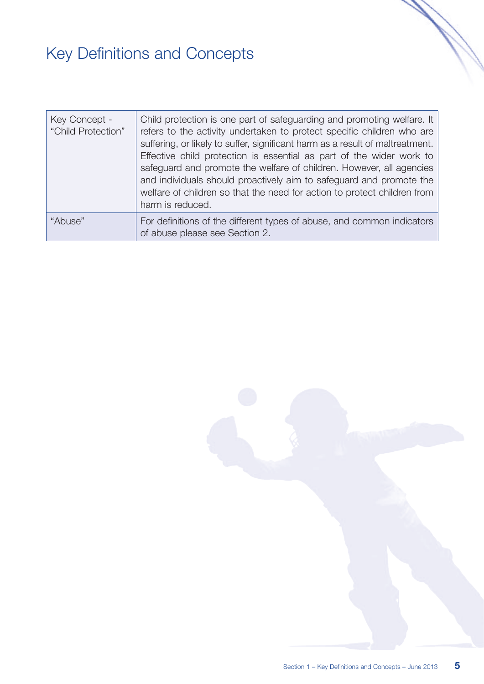# Key Definitions and Concepts

| Key Concept -<br>"Child Protection" | Child protection is one part of safeguarding and promoting welfare. It<br>refers to the activity undertaken to protect specific children who are<br>suffering, or likely to suffer, significant harm as a result of maltreatment.<br>Effective child protection is essential as part of the wider work to<br>safeguard and promote the welfare of children. However, all agencies<br>and individuals should proactively aim to safeguard and promote the<br>welfare of children so that the need for action to protect children from<br>harm is reduced. |
|-------------------------------------|----------------------------------------------------------------------------------------------------------------------------------------------------------------------------------------------------------------------------------------------------------------------------------------------------------------------------------------------------------------------------------------------------------------------------------------------------------------------------------------------------------------------------------------------------------|
| "Abuse"                             | For definitions of the different types of abuse, and common indicators<br>of abuse please see Section 2.                                                                                                                                                                                                                                                                                                                                                                                                                                                 |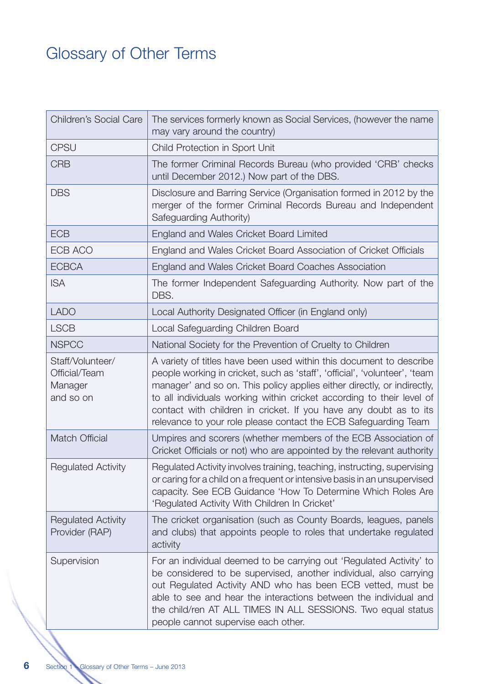## Glossary of Other Terms

| <b>Children's Social Care</b>                             | The services formerly known as Social Services, (however the name<br>may vary around the country)                                                                                                                                                                                                                                                                                                                                             |
|-----------------------------------------------------------|-----------------------------------------------------------------------------------------------------------------------------------------------------------------------------------------------------------------------------------------------------------------------------------------------------------------------------------------------------------------------------------------------------------------------------------------------|
| <b>CPSU</b>                                               | Child Protection in Sport Unit                                                                                                                                                                                                                                                                                                                                                                                                                |
| <b>CRB</b>                                                | The former Criminal Records Bureau (who provided 'CRB' checks<br>until December 2012.) Now part of the DBS.                                                                                                                                                                                                                                                                                                                                   |
| <b>DBS</b>                                                | Disclosure and Barring Service (Organisation formed in 2012 by the<br>merger of the former Criminal Records Bureau and Independent<br>Safeguarding Authority)                                                                                                                                                                                                                                                                                 |
| <b>ECB</b>                                                | England and Wales Cricket Board Limited                                                                                                                                                                                                                                                                                                                                                                                                       |
| ECB ACO                                                   | England and Wales Cricket Board Association of Cricket Officials                                                                                                                                                                                                                                                                                                                                                                              |
| <b>ECBCA</b>                                              | England and Wales Cricket Board Coaches Association                                                                                                                                                                                                                                                                                                                                                                                           |
| <b>ISA</b>                                                | The former Independent Safeguarding Authority. Now part of the<br>DBS.                                                                                                                                                                                                                                                                                                                                                                        |
| <b>LADO</b>                                               | Local Authority Designated Officer (in England only)                                                                                                                                                                                                                                                                                                                                                                                          |
| <b>LSCB</b>                                               | Local Safeguarding Children Board                                                                                                                                                                                                                                                                                                                                                                                                             |
| <b>NSPCC</b>                                              | National Society for the Prevention of Cruelty to Children                                                                                                                                                                                                                                                                                                                                                                                    |
| Staff/Volunteer/<br>Official/Team<br>Manager<br>and so on | A variety of titles have been used within this document to describe<br>people working in cricket, such as 'staff', 'official', 'volunteer', 'team<br>manager' and so on. This policy applies either directly, or indirectly,<br>to all individuals working within cricket according to their level of<br>contact with children in cricket. If you have any doubt as to its<br>relevance to your role please contact the ECB Safeguarding Team |
| <b>Match Official</b>                                     | Umpires and scorers (whether members of the ECB Association of<br>Cricket Officials or not) who are appointed by the relevant authority                                                                                                                                                                                                                                                                                                       |
| <b>Regulated Activity</b>                                 | Regulated Activity involves training, teaching, instructing, supervising<br>or caring for a child on a frequent or intensive basis in an unsupervised<br>capacity. See ECB Guidance 'How To Determine Which Roles Are<br>'Regulated Activity With Children In Cricket'                                                                                                                                                                        |
| <b>Regulated Activity</b><br>Provider (RAP)               | The cricket organisation (such as County Boards, leagues, panels<br>and clubs) that appoints people to roles that undertake regulated<br>activity                                                                                                                                                                                                                                                                                             |
| Supervision                                               | For an individual deemed to be carrying out 'Regulated Activity' to<br>be considered to be supervised, another individual, also carrying<br>out Regulated Activity AND who has been ECB vetted, must be<br>able to see and hear the interactions between the individual and<br>the child/ren AT ALL TIMES IN ALL SESSIONS. Two equal status<br>people cannot supervise each other.                                                            |

**6**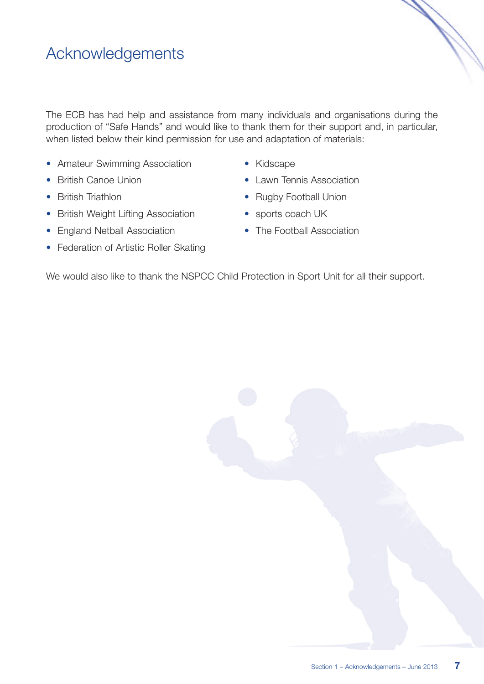### Acknowledgements

The ECB has had help and assistance from many individuals and organisations during the production of "Safe Hands" and would like to thank them for their support and, in particular, when listed below their kind permission for use and adaptation of materials:

- Amateur Swimming Association
- British Canoe Union
- British Triathlon
- British Weight Lifting Association
- England Netball Association
- Federation of Artistic Roller Skating
- Kidscape
- Lawn Tennis Association
- Rugby Football Union
- sports coach UK
- The Football Association

We would also like to thank the NSPCC Child Protection in Sport Unit for all their support.